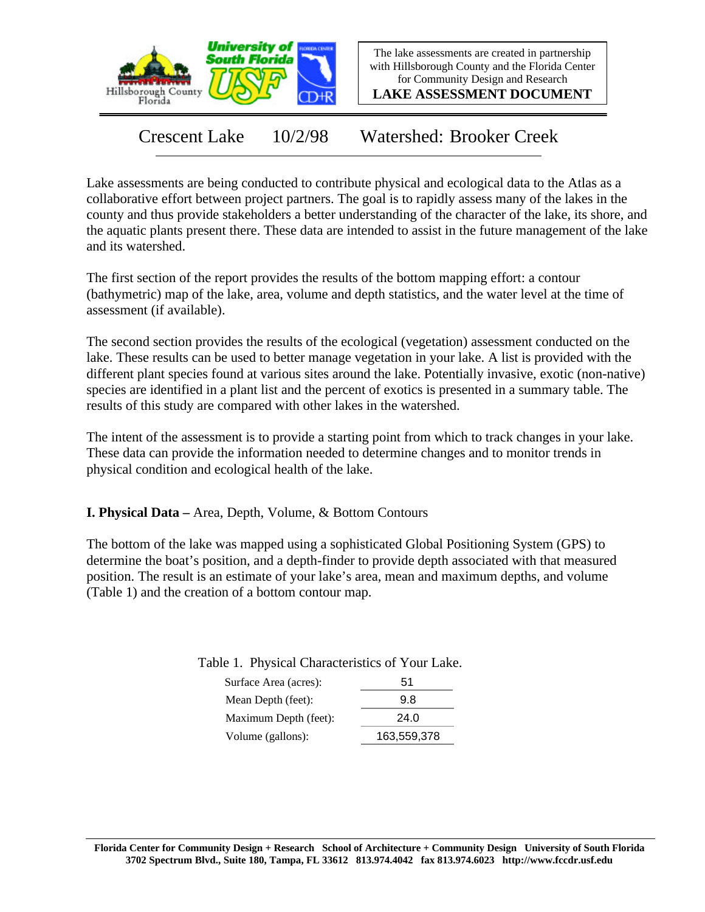

The lake assessments are created in partnership with Hillsborough County and the Florida Center for Community Design and Research

**LAKE ASSESSMENT DOCUMENT**

Crescent Lake 10/2/98 Watershed: Brooker Creek

Lake assessments are being conducted to contribute physical and ecological data to the Atlas as a collaborative effort between project partners. The goal is to rapidly assess many of the lakes in the county and thus provide stakeholders a better understanding of the character of the lake, its shore, and the aquatic plants present there. These data are intended to assist in the future management of the lake and its watershed.

The first section of the report provides the results of the bottom mapping effort: a contour (bathymetric) map of the lake, area, volume and depth statistics, and the water level at the time of assessment (if available).

The second section provides the results of the ecological (vegetation) assessment conducted on the lake. These results can be used to better manage vegetation in your lake. A list is provided with the different plant species found at various sites around the lake. Potentially invasive, exotic (non-native) species are identified in a plant list and the percent of exotics is presented in a summary table. The results of this study are compared with other lakes in the watershed.

The intent of the assessment is to provide a starting point from which to track changes in your lake. These data can provide the information needed to determine changes and to monitor trends in physical condition and ecological health of the lake.

**I. Physical Data –** Area, Depth, Volume, & Bottom Contours

The bottom of the lake was mapped using a sophisticated Global Positioning System (GPS) to determine the boat's position, and a depth-finder to provide depth associated with that measured position. The result is an estimate of your lake's area, mean and maximum depths, and volume (Table 1) and the creation of a bottom contour map.

| Surface Area (acres): | 51   |
|-----------------------|------|
| Mean Depth (feet):    | 98   |
| Maximum Depth (feet): | 24.0 |

Volume (gallons): 163,559,378

Table 1. Physical Characteristics of Your Lake.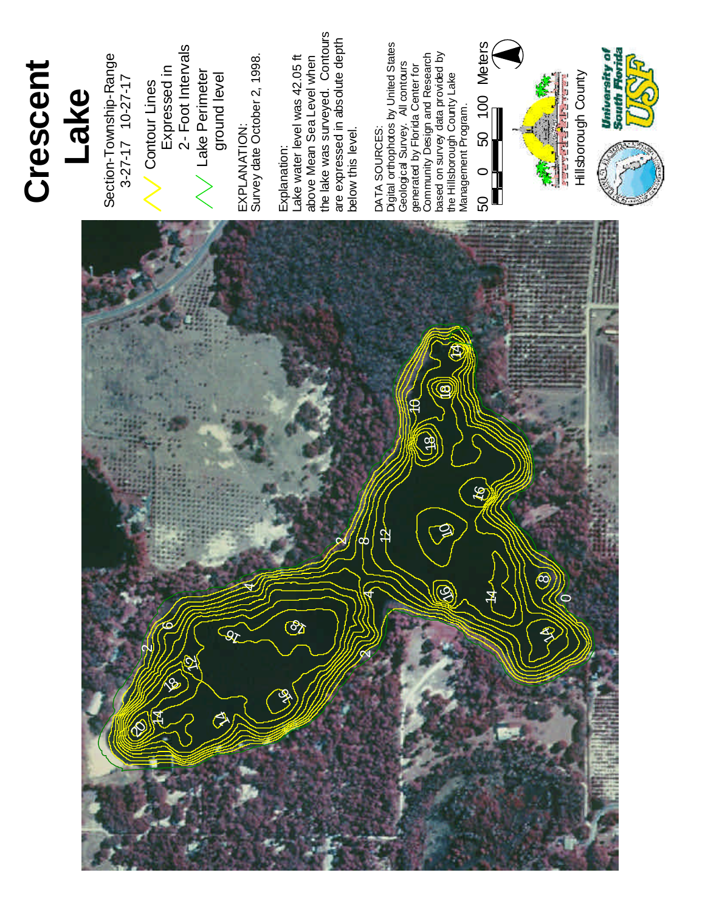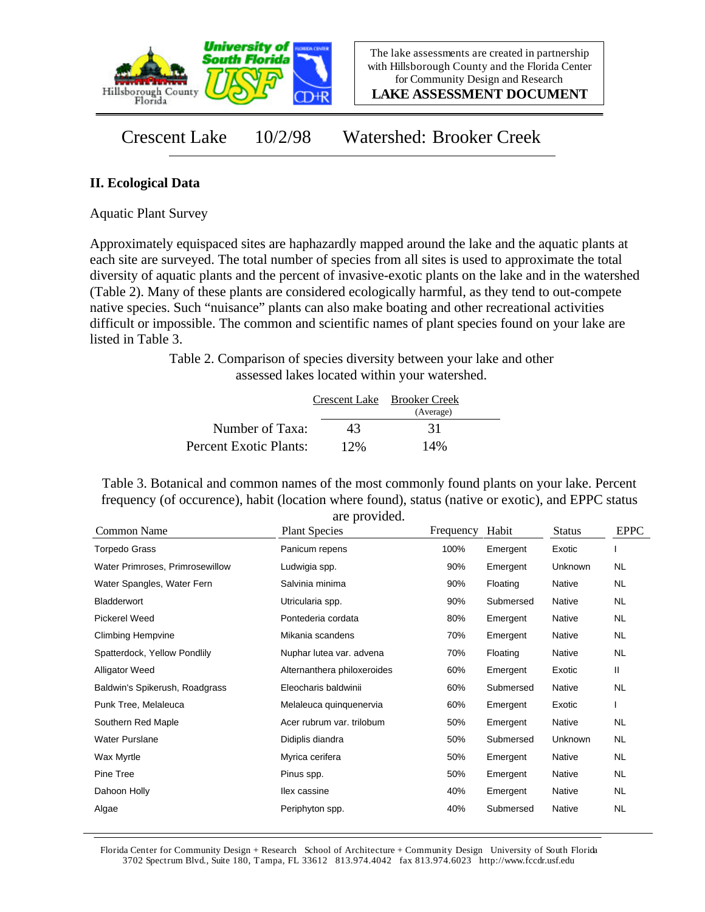

**LAKE ASSESSMENT DOCUMENT**

Crescent Lake 10/2/98 Watershed: Brooker Creek

## **II. Ecological Data**

Aquatic Plant Survey

Approximately equispaced sites are haphazardly mapped around the lake and the aquatic plants at each site are surveyed. The total number of species from all sites is used to approximate the total diversity of aquatic plants and the percent of invasive-exotic plants on the lake and in the watershed (Table 2). Many of these plants are considered ecologically harmful, as they tend to out-compete native species. Such "nuisance" plants can also make boating and other recreational activities difficult or impossible. The common and scientific names of plant species found on your lake are listed in Table 3.

> Table 2. Comparison of species diversity between your lake and other assessed lakes located within your watershed.

|                        |     | Crescent Lake Brooker Creek |  |
|------------------------|-----|-----------------------------|--|
|                        |     | (Average)                   |  |
| Number of Taxa:        | 43  | 31                          |  |
| Percent Exotic Plants: | 12% | 14%                         |  |

Table 3. Botanical and common names of the most commonly found plants on your lake. Percent frequency (of occurence), habit (location where found), status (native or exotic), and EPPC status are provided.

| Common Name                     | <b>Plant Species</b>        | Frequency | Habit     | <b>Status</b> | <b>EPPC</b> |
|---------------------------------|-----------------------------|-----------|-----------|---------------|-------------|
| <b>Torpedo Grass</b>            | Panicum repens              | 100%      | Emergent  | Exotic        |             |
| Water Primroses, Primrosewillow | Ludwigia spp.               | 90%       | Emergent  | Unknown       | NL          |
| Water Spangles, Water Fern      | Salvinia minima             | 90%       | Floating  | Native        | NL.         |
| <b>Bladderwort</b>              | Utricularia spp.            | 90%       | Submersed | Native        | NL.         |
| <b>Pickerel Weed</b>            | Pontederia cordata          | 80%       | Emergent  | Native        | NL.         |
| <b>Climbing Hempvine</b>        | Mikania scandens            | 70%       | Emergent  | Native        | NL.         |
| Spatterdock, Yellow Pondlily    | Nuphar lutea var. advena    | 70%       | Floating  | Native        | <b>NL</b>   |
| Alligator Weed                  | Alternanthera philoxeroides | 60%       | Emergent  | Exotic        | Ш           |
| Baldwin's Spikerush, Roadgrass  | Eleocharis baldwinii        | 60%       | Submersed | Native        | <b>NL</b>   |
| Punk Tree, Melaleuca            | Melaleuca quinquenervia     | 60%       | Emergent  | Exotic        |             |
| Southern Red Maple              | Acer rubrum var. trilobum   | 50%       | Emergent  | Native        | <b>NL</b>   |
| <b>Water Purslane</b>           | Didiplis diandra            | 50%       | Submersed | Unknown       | NL.         |
| Wax Myrtle                      | Myrica cerifera             | 50%       | Emergent  | Native        | NL.         |
| Pine Tree                       | Pinus spp.                  | 50%       | Emergent  | Native        | NL.         |
| Dahoon Holly                    | llex cassine                | 40%       | Emergent  | Native        | NL.         |
| Algae                           | Periphyton spp.             | 40%       | Submersed | Native        | <b>NL</b>   |

Florida Center for Community Design + Research School of Architecture + Community Design University of South Florida 3702 Spectrum Blvd., Suite 180, Tampa, FL 33612 813.974.4042 fax 813.974.6023 http://www.fccdr.usf.edu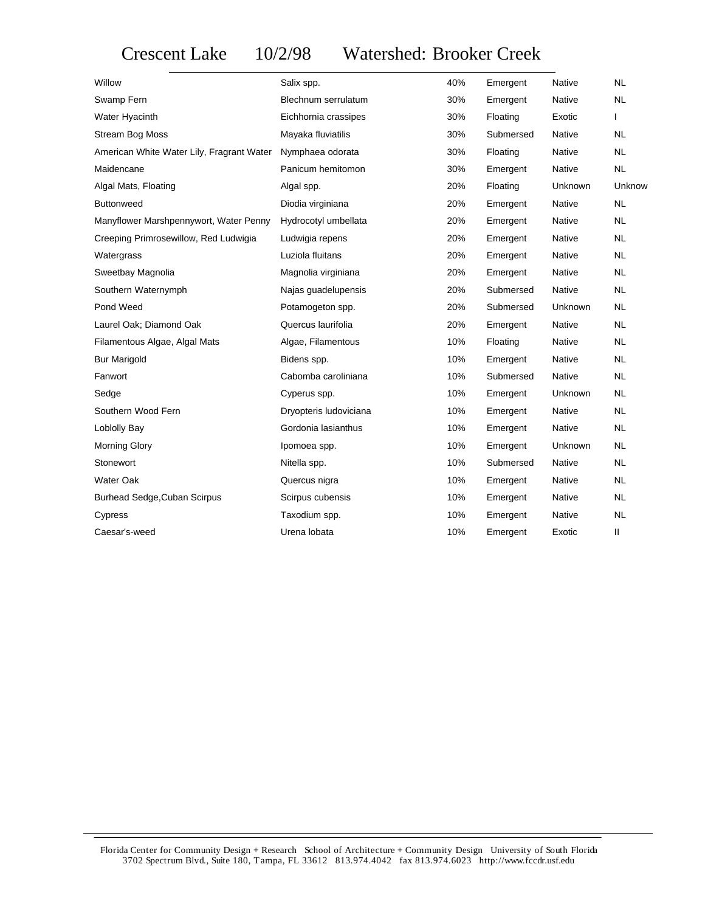## Crescent Lake 10/2/98 Watershed: Brooker Creek

| Willow                                    | Salix spp.             | 40% | Emergent  | Native        | <b>NL</b> |
|-------------------------------------------|------------------------|-----|-----------|---------------|-----------|
| Swamp Fern                                | Blechnum serrulatum    | 30% | Emergent  | <b>Native</b> | <b>NL</b> |
| Water Hyacinth                            | Eichhornia crassipes   | 30% | Floating  | Exotic        | L         |
| <b>Stream Bog Moss</b>                    | Mayaka fluviatilis     | 30% | Submersed | <b>Native</b> | <b>NL</b> |
| American White Water Lily, Fragrant Water | Nymphaea odorata       | 30% | Floating  | <b>Native</b> | <b>NL</b> |
| Maidencane                                | Panicum hemitomon      | 30% | Emergent  | Native        | <b>NL</b> |
| Algal Mats, Floating                      | Algal spp.             | 20% | Floating  | Unknown       | Unknow    |
| <b>Buttonweed</b>                         | Diodia virginiana      | 20% | Emergent  | Native        | <b>NL</b> |
| Manyflower Marshpennywort, Water Penny    | Hydrocotyl umbellata   | 20% | Emergent  | Native        | <b>NL</b> |
| Creeping Primrosewillow, Red Ludwigia     | Ludwigia repens        | 20% | Emergent  | Native        | <b>NL</b> |
| Watergrass                                | Luziola fluitans       | 20% | Emergent  | Native        | <b>NL</b> |
| Sweetbay Magnolia                         | Magnolia virginiana    | 20% | Emergent  | Native        | <b>NL</b> |
| Southern Waternymph                       | Najas guadelupensis    | 20% | Submersed | Native        | <b>NL</b> |
| Pond Weed                                 | Potamogeton spp.       | 20% | Submersed | Unknown       | <b>NL</b> |
| Laurel Oak; Diamond Oak                   | Quercus laurifolia     | 20% | Emergent  | Native        | <b>NL</b> |
| Filamentous Algae, Algal Mats             | Algae, Filamentous     | 10% | Floating  | Native        | <b>NL</b> |
| <b>Bur Marigold</b>                       | Bidens spp.            | 10% | Emergent  | Native        | <b>NL</b> |
| Fanwort                                   | Cabomba caroliniana    | 10% | Submersed | Native        | <b>NL</b> |
| Sedge                                     | Cyperus spp.           | 10% | Emergent  | Unknown       | <b>NL</b> |
| Southern Wood Fern                        | Dryopteris Iudoviciana | 10% | Emergent  | Native        | <b>NL</b> |
| Loblolly Bay                              | Gordonia lasianthus    | 10% | Emergent  | <b>Native</b> | <b>NL</b> |
| Morning Glory                             | Ipomoea spp.           | 10% | Emergent  | Unknown       | <b>NL</b> |
| Stonewort                                 | Nitella spp.           | 10% | Submersed | <b>Native</b> | <b>NL</b> |
| Water Oak                                 | Quercus nigra          | 10% | Emergent  | Native        | <b>NL</b> |
| <b>Burhead Sedge, Cuban Scirpus</b>       | Scirpus cubensis       | 10% | Emergent  | Native        | <b>NL</b> |
| Cypress                                   | Taxodium spp.          | 10% | Emergent  | Native        | <b>NL</b> |
| Caesar's-weed                             | Urena lobata           | 10% | Emergent  | Exotic        | Ш         |